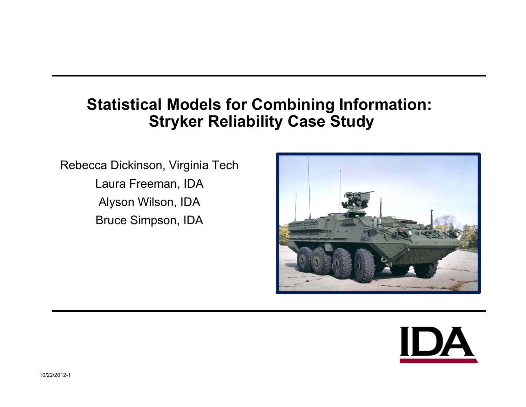# **Statistical Models for Combining Information: Stryker Reliability Case Study**

Rebecca Dickinson, Virginia Tech Laura Freeman, IDA Alyson Wilson, IDA Bruce Simpson, IDA



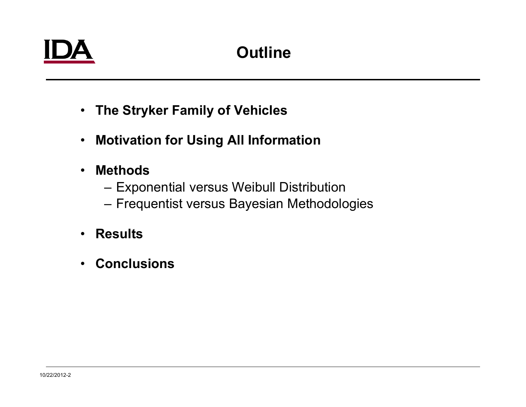# **Outline**

- **The Stryker Family of Vehicles**
- $\bullet$ **Motivation for Using All Information**
- • **Methods**
	- Exponential versus Weibull Distribution
	- –Frequentist versus Bayesian Methodologies
- $\bullet$ **Results**
- •**Conclusions**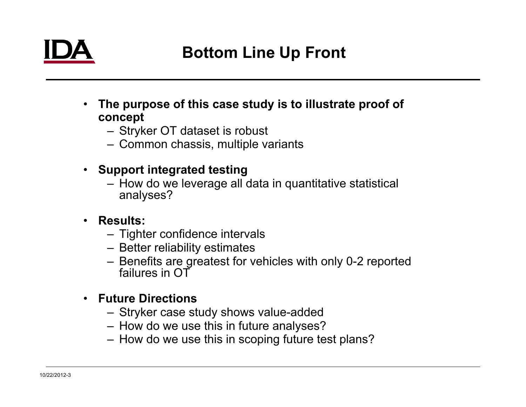

- • **The purpose of this case study is to illustrate proof of concept**
	- Stryker OT dataset is robust
	- Common chassis, multiple variants
- • **Support integrated testing**
	- How do we leverage all data in quantitative statistical analyses?
- $\bullet$  **Results:**
	- Tighter confidence intervals
	- Better reliability estimates
	- Benefits are greatest for vehicles with only 0-2 reported failures in OT
- **Future Directions**
	- Stryker case study shows value-added
	- How do we use this in future analyses?
	- How do we use this in scoping future test plans?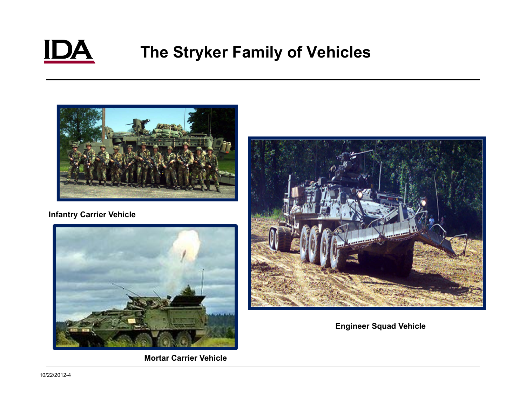

# **The Stryker Family of Vehicles**



#### **Infantry Carrier Vehicle**



**Mortar Carrier Vehicle**



**Engineer Squad Vehicle**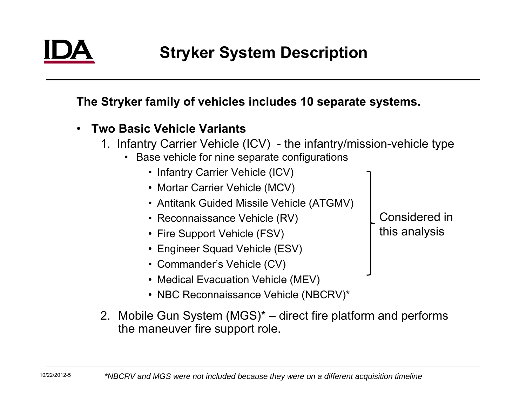10/22/2012-5

**The Stryker family of vehicles includes 10 separate systems.**

- • **Two Basic Vehicle Variants**
	- 1. Infantry Carrier Vehicle (ICV) the infantry/mission-vehicle type
		- Base vehicle for nine separate configurations
			- Infantry Carrier Vehicle (ICV)
			- Mortar Carrier Vehicle (MCV)
			- Antitank Guided Missile Vehicle (ATGMV)
			- Reconnaissance Vehicle (RV)
			- Fire Support Vehicle (FSV)
			- Engineer Squad Vehicle (ESV)
			- Commander's Vehicle (CV)
			- Medical Evacuation Vehicle (MEV)
			- NBC Reconnaissance Vehicle (NBCRV)\*

Considered in this analysis

2. Mobile Gun System (MGS)\* – direct fire platform and performs the maneuver fire support role.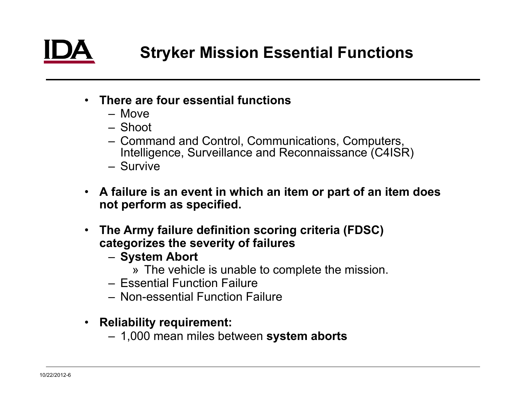- **There are four essential functions**
	- Move
	- Shoot
	- Command and Control, Communications, Computers, Intelligence, Surveillance and Reconnaissance (C4ISR)
	- Survive
- **A failure is an event in which an item or part of an item does not perform as specified.**
- • **The Army failure definition scoring criteria (FDSC) categorizes the severity of failures**
	- **System Abort**
		- » The vehicle is unable to complete the mission.
	- Essential Function Failure
	- Non-essential Function Failure
- **Reliability requirement:**
	- 1,000 mean miles between **system aborts**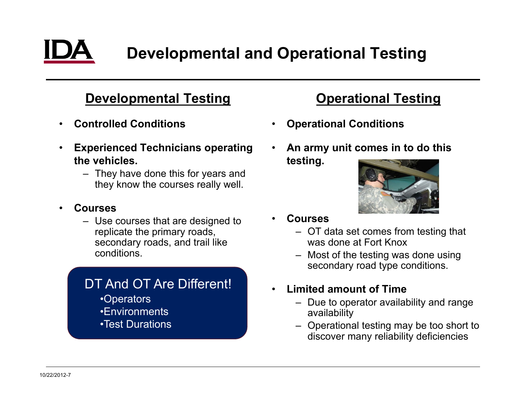

# **Developmental and Operational Testing**

### **Developmental Testing**

- •**Controlled Conditions**
- • **Experienced Technicians operating the vehicles.** 
	- They have done this for years and they know the courses really well.
- • **Courses**
	- Use courses that are designed to replicate the primary roads, secondary roads, and trail like conditions.

#### DT And OT Are Different!

- •Operators
- •Environments
- •Test Durations

### **Operational Testing**

- $\bullet$ **Operational Conditions**
- • **An army unit comes in to do this testing.**



- • **Courses**
	- OT data set comes from testing that was done at Fort Knox
	- Most of the testing was done using secondary road type conditions.
- • **Limited amount of Time**
	- Due to operator availability and range availability
	- Operational testing may be too short to discover many reliability deficiencies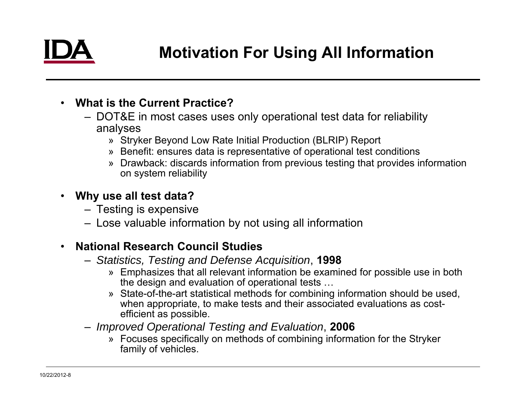- **What is the Current Practice?**
	- DOT&E in most cases uses only operational test data for reliability analyses
		- » Stryker Beyond Low Rate Initial Production (BLRIP) Report
		- » Benefit: ensures data is representative of operational test conditions
		- » Drawback: discards information from previous testing that provides information on system reliability
- • **Why use all test data?**
	- Testing is expensive
	- Lose valuable information by not using all information

#### •**National Research Council Studies**

- *Statistics, Testing and Defense Acquisition*, **1998**
	- » Emphasizes that all relevant information be examined for possible use in both the design and evaluation of operational tests …
	- » State-of-the-art statistical methods for combining information should be used, when appropriate, to make tests and their associated evaluations as costefficient as possible.
- *Improved Operational Testing and Evaluation*, **2006**
	- » Focuses specifically on methods of combining information for the Stryker family of vehicles.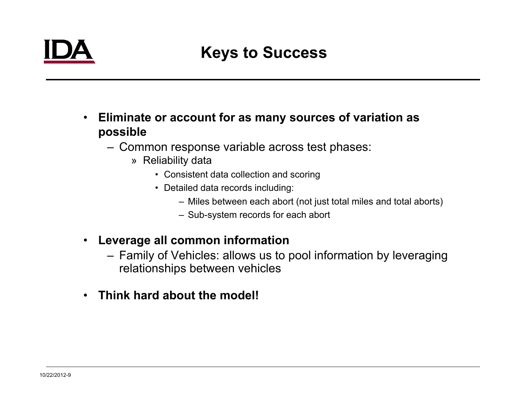# **Keys to Success**

- • **Eliminate or account for as many sources of variation as possible**
	- Common response variable across test phases:
		- » Reliability data
			- Consistent data collection and scoring
			- Detailed data records including:
				- Miles between each abort (not just total miles and total aborts)
				- Sub-system records for each abort
- $\bullet$  **Leverage all common information**
	- Family of Vehicles: allows us to pool information by leveraging relationships between vehicles
- **Think hard about the model!**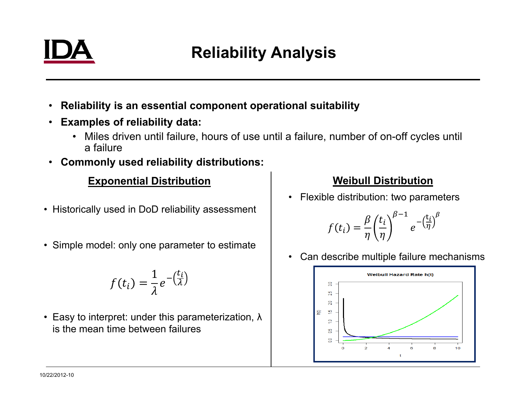

# **Reliability Analysis**

- •**Reliability is an essential component operational suitability**
- **Examples of reliability data:**
	- Miles driven until failure, hours of use until a failure, number of on-off cycles until a failure
- **Commonly used reliability distributions:**

#### **Exponential Distribution**

- Historically used in DoD reliability assessment
- Simple model: only one parameter to estimate

$$
f(t_i) = \frac{1}{\lambda} e^{-\left(\frac{t_i}{\lambda}\right)}
$$

• Easy to interpret: under this parameterization, λ is the mean time between failures

#### **Weibull Distribution**

 $\bullet$ Flexible distribution: two parameters

$$
f(t_i) = \frac{\beta}{\eta} \left(\frac{t_i}{\eta}\right)^{\beta-1} e^{-\left(\frac{t_i}{\eta}\right)^{\beta}}
$$

 $\bullet$ Can describe multiple failure mechanisms

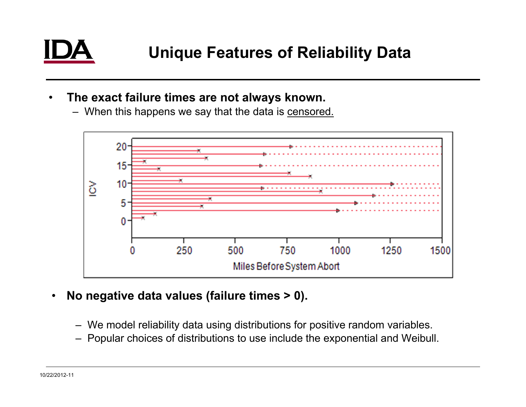- $\bullet$  **The exact failure times are not always known.**
	- When this happens we say that the data is <u>censored.</u>



- $\bullet$  **No negative data values (failure times > 0).**
	- We model reliability data using distributions for positive random variables.
	- Popular choices of distributions to use include the exponential and Weibull.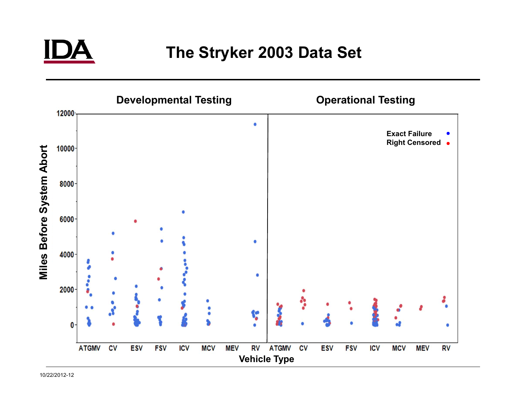

# **The Stryker 2003 Data Set**

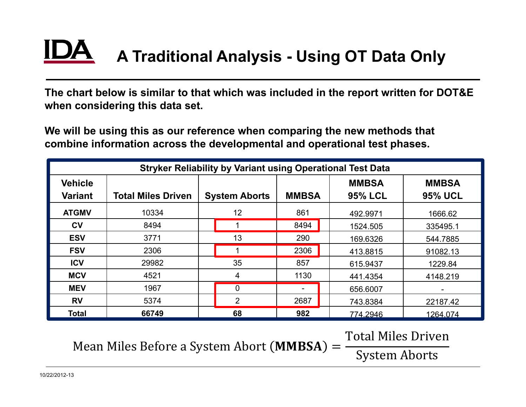# **A Traditional Analysis - Using OT Data Only**

**The chart below is similar to that which was included in the report written for DOT&E when considering this data set.**

**We will be using this as our reference when comparing the new methods that combine information across the developmental and operational test phases.**

| <b>Stryker Reliability by Variant using Operational Test Data</b> |                           |                      |              |                |                |  |
|-------------------------------------------------------------------|---------------------------|----------------------|--------------|----------------|----------------|--|
| <b>Vehicle</b>                                                    |                           |                      |              | <b>MMBSA</b>   | <b>MMBSA</b>   |  |
| <b>Variant</b>                                                    | <b>Total Miles Driven</b> | <b>System Aborts</b> | <b>MMBSA</b> | <b>95% LCL</b> | <b>95% UCL</b> |  |
| <b>ATGMV</b>                                                      | 10334                     | 12                   | 861          | 492.9971       | 1666.62        |  |
| $c_{V}$                                                           | 8494                      |                      | 8494         | 1524.505       | 335495.1       |  |
| <b>ESV</b>                                                        | 3771                      | 13                   | 290          | 169.6326       | 544.7885       |  |
| <b>FSV</b>                                                        | 2306                      |                      | 2306         | 413.8815       | 91082.13       |  |
| <b>ICV</b>                                                        | 29982                     | 35                   | 857          | 615.9437       | 1229.84        |  |
| <b>MCV</b>                                                        | 4521                      | 4                    | 1130         | 441.4354       | 4148.219       |  |
| <b>MEV</b>                                                        | 1967                      | $\overline{0}$       | -            | 656.6007       |                |  |
| <b>RV</b>                                                         | 5374                      | $\overline{2}$       | 2687         | 743.8384       | 22187.42       |  |
| <b>Total</b>                                                      | 66749                     | 68                   | 982          | 774.2946       | 1264.074       |  |

Mean Miles Before a System Abort  $(MMBSA) =$ 

Total Miles Driven System Aborts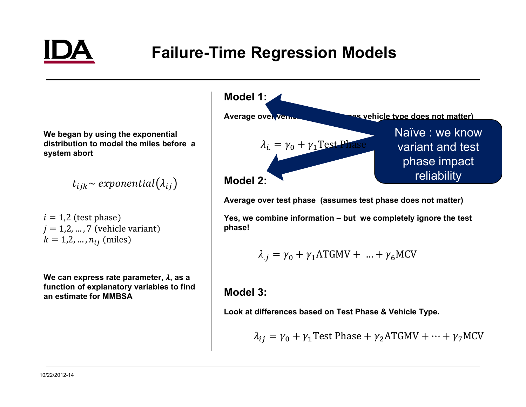

# **Failure-Time Regression Models**

**We began by using the exponential distribution to model the miles before a system abort**

 $t_{ijk}$  ~ exponential( $\lambda_{ij}$ )

 $i = 1.2$  (test phase)  $j = 1,2,...,7$  (vehicle variant)  $k = 1, 2, ..., n_{ij}$  (miles)

**We can express rate parameter,** ࣅ**, as a function of explanatory variables to find an estimate for MMBSA**



**Average over test phase (assumes test phase does not matter)**

**Yes, we combine information – but we completely ignore the test phase!**

$$
\lambda_j = \gamma_0 + \gamma_1 \text{ATGMV} + \dots + \gamma_6 \text{MCV}
$$

#### **Model 3:**

**Look at differences based on Test Phase & Vehicle Type.**

$$
\lambda_{ij} = \gamma_0 + \gamma_1 \text{Test Phase} + \gamma_2 \text{ATGMV} + \dots + \gamma_7 \text{MCV}
$$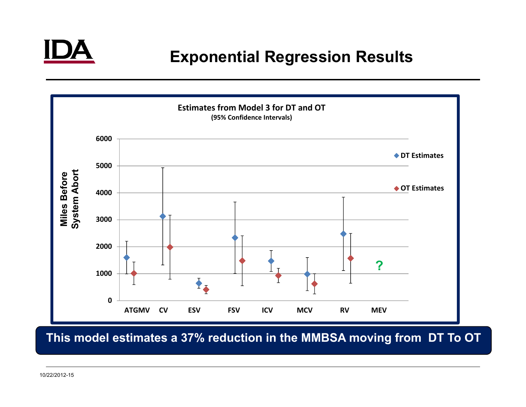

# **Exponential Regression Results**



**This model estimates a 37% reduction in the MMBSA moving from DT To OT**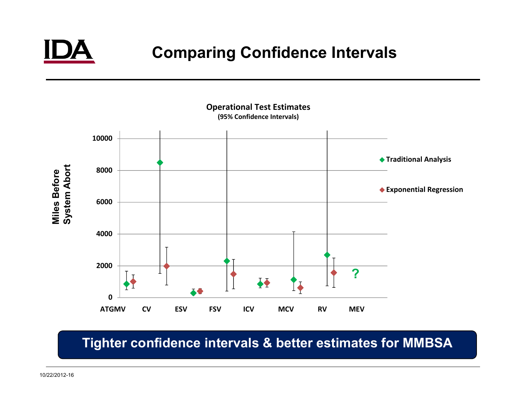

# **Comparing Confidence Intervals**



### **Tighter confidence intervals & better estimates for MMBSA**

10/22/2012-16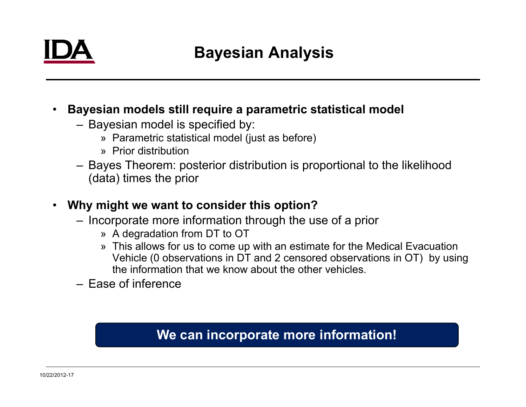

# **Bayesian Analysis**

- • **Bayesian models still require a parametric statistical model**
	- Bayesian model is specified by:
		- » Parametric statistical model (just as before)
		- » Prior distribution
	- Bayes Theorem: posterior distribution is proportional to the likelihood (data) times the prior
- $\bullet$  **Why might we want to consider this option?**
	- Incorporate more information through the use of a prior
		- » A degradation from DT to OT
		- » This allows for us to come up with an estimate for the Medical Evacuation Vehicle (0 observations in DT and 2 censored observations in OT) by using the information that we know about the other vehicles.
	- Ease of inference

### **We can incorporate more information!**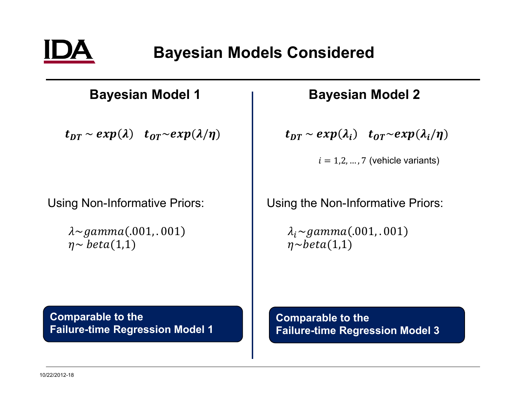

### **Bayesian Model 1**

 $t_{DT} \sim exp(\lambda)$   $t_{OT} \sim exp(\lambda/\eta)$ 

Using Non-Informative Priors:

 $\lambda \sim gamma(.001, .001)$  $\eta \sim \text{beta}(1,1)$ 

### **Bayesian Model 2**

 $\boldsymbol{t_{DT}} \sim exp(\boldsymbol{\lambda_i}) \quad \boldsymbol{t_{OT}} \sim exp(\boldsymbol{\lambda_i}/\eta)$ 

 $i = 1,2,...,7$  (vehicle variants)

Using the Non-Informative Priors:

 $\lambda_i \sim gamma(.001, .001)$  $\eta \sim beta(1,1)$ 

**Comparable to the Failure-time Regression Model 1** **Comparable to the Failure-time Regression Model 3**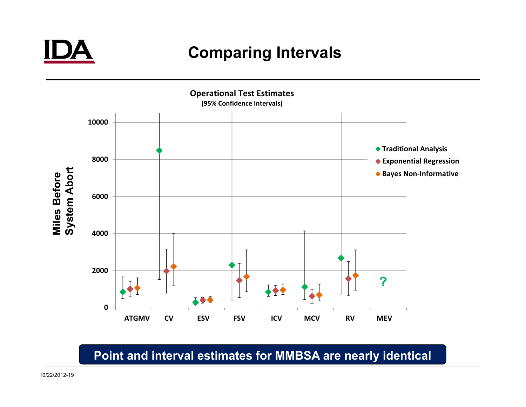

# **Comparing Intervals**



### **Point and interval estimates for MMBSA are nearly identical**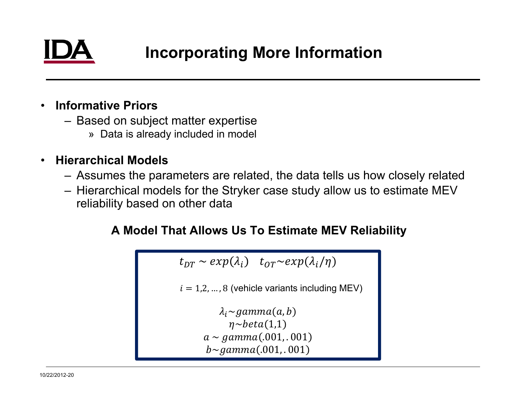#### •**Informative Priors**

- Based on subject matter expertise
	- » Data is already included in model

#### $\bullet$ **Hierarchical Models**

- Assumes the parameters are related, the data tells us how closely related
- Hierarchical models for the Stryker case study allow us to estimate MEV reliability based on other data

### **A Model That Allows Us To Estimate MEV Reliability**

```
t_{DT}\sim exp(\lambda_i) t_{OT}{\sim}exp(\lambda_i/\eta)i = 1,2, ..., 8 (vehicle variants including MEV)
\lambda_i \simgamma(a, b)\eta \sim beta(1,1)a \sim gamma(.001, .001)b \sim gamma(.001, .001)
```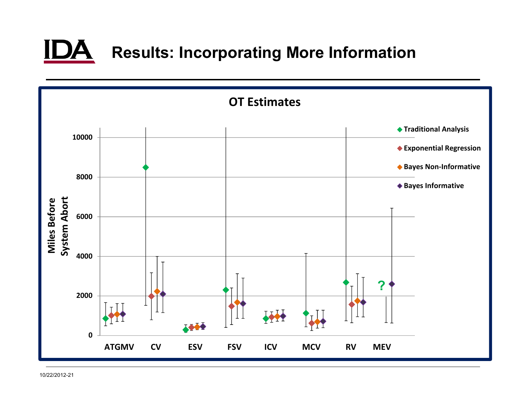

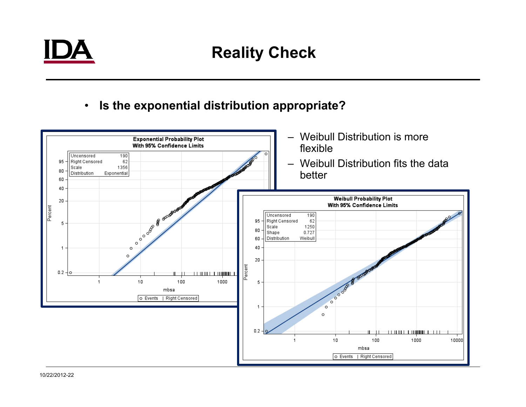

# **Reality Check**

 $\bullet$ **Is the exponential distribution appropriate?**

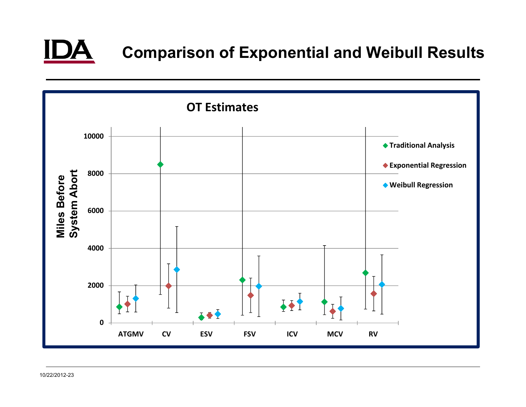

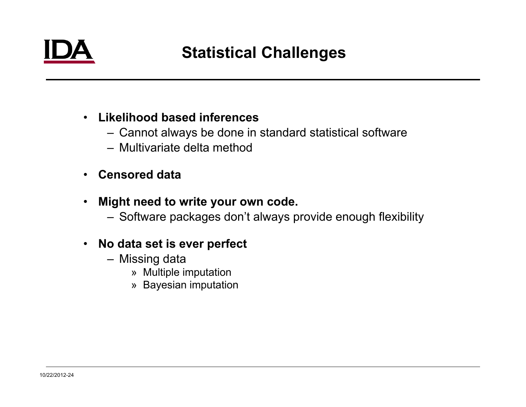

# **Statistical Challenges**

### • **Likelihood based inferences**

- Cannot always be done in standard statistical software
- Multivariate delta method
- •**Censored data**
- • **Might need to write your own code.**
	- Software packages don't always provide enough flexibility

#### $\bullet$ **No data set is ever perfect**

- Missing data
	- » Multiple imputation
	- » Bayesian imputation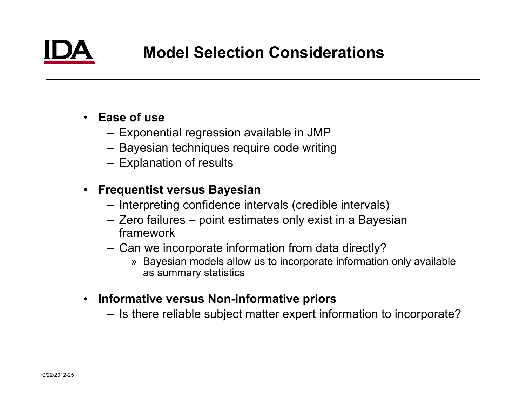

### • **Ease of use**

- Exponential regression available in JMP
- Bayesian techniques require code writing
- Explanation of results

#### $\bullet$ **Frequentist versus Bayesian**

- Interpreting confidence intervals (credible intervals)
- Zero failures point estimates only exist in a Bayesian framework
- Can we incorporate information from data directly?
	- » Bayesian models allow us to incorporate information only available as summary statistics
- $\bullet$  **Informative versus Non-informative priors**
	- Is there reliable subject matter expert information to incorporate?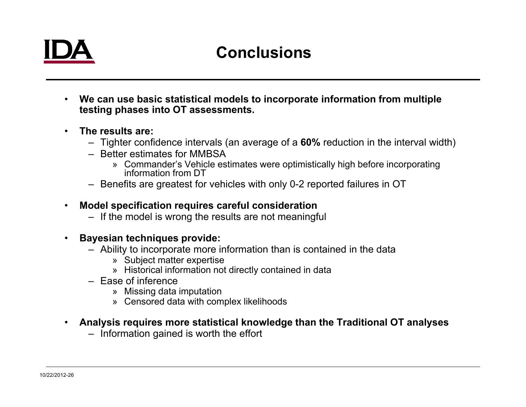# **Conclusions**

- **We can use basic statistical models to incorporate information from multiple testing phases into OT assessments.**
- • **The results are:**
	- Tighter confidence intervals (an average of a **60%** reduction in the interval width)
	- Better estimates for MMBSA
		- » Commander's Vehicle estimates were optimistically high before incorporating information from DT
	- Benefits are greatest for vehicles with only 0-2 reported failures in OT
- $\bullet$  **Model specification requires careful consideration**
	- If the model is wrong the results are not meaningful
- $\bullet$  **Bayesian techniques provide:**
	- Ability to incorporate more information than is contained in the data
		- » Subject matter expertise
		- » Historical information not directly contained in data
	- Ease of inference
		- » Missing data imputation
		- » Censored data with complex likelihoods
- **Analysis requires more statistical knowledge than the Traditional OT analyses**
	- Information gained is worth the effort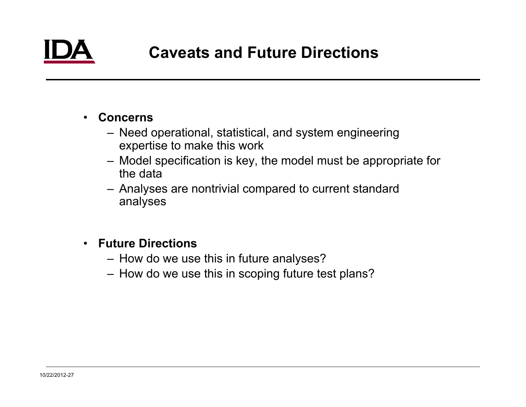#### •**Concerns**

- Need operational, statistical, and system engineering expertise to make this work
- Model specification is key, the model must be appropriate for the data
- Analyses are nontrivial compared to current standard analyses

#### • **Future Directions**

- How do we use this in future analyses?
- How do we use this in scoping future test plans?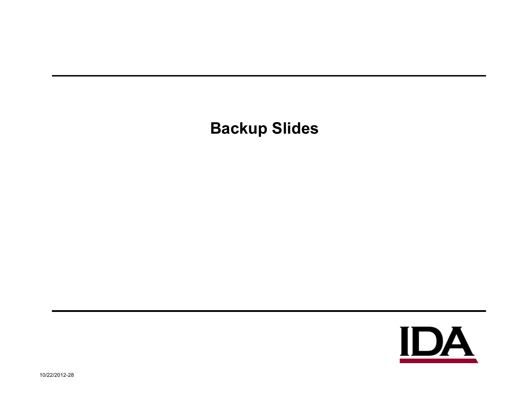# **Backup Slides**

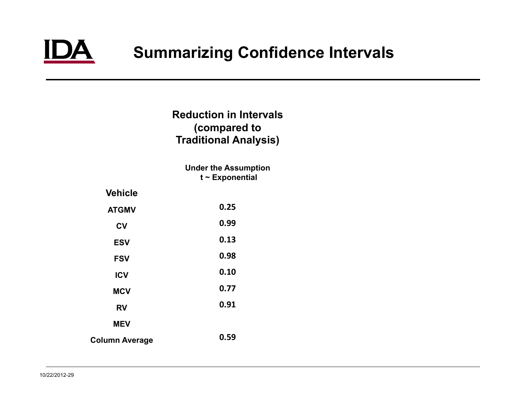

# **Summarizing Confidence Intervals**

#### **Reduction in Intervals(compared to Traditional Analysis)**

**Under the Assumption t ~ Exponential**

| <b>Vehicle</b> |      |
|----------------|------|
| <b>ATGMV</b>   | 0.25 |
| <b>CV</b>      | 0.99 |
| <b>ESV</b>     | 0.13 |
| <b>FSV</b>     | 0.98 |
| <b>ICV</b>     | 0.10 |
| <b>MCV</b>     | 0.77 |
| <b>RV</b>      | 0.91 |
| <b>MEV</b>     |      |
| Column Average | 0.59 |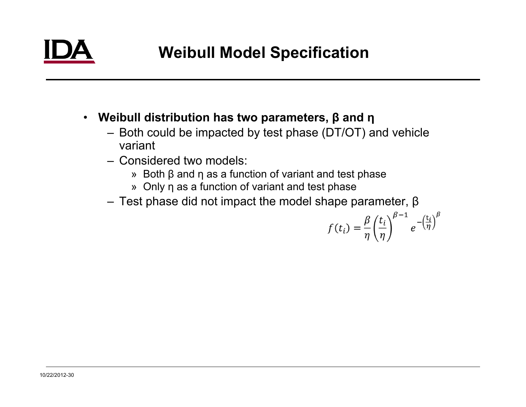- **Weibull distribution has two parameters, β and η**
	- Both could be impacted by test phase (DT/OT) and vehicle variant
	- Considered two models:
		- » Both β and η as a function of variant and test phase
		- » Only η as a function of variant and test phase
	- Test phase did not impact the model shape parameter, β

$$
f(t_i) = \frac{\beta}{\eta} \left(\frac{t_i}{\eta}\right)^{\beta - 1} e^{-\left(\frac{t_i}{\eta}\right)^{\beta}}
$$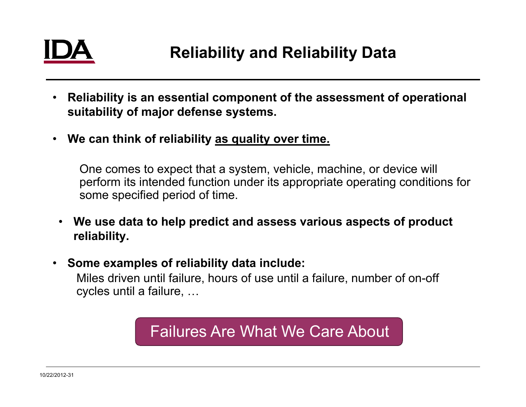

- $\bullet$  **Reliability is an essential component of the assessment of operational suitability of major defense systems.**
- **We can think of reliability as quality over time.**

One comes to expect that a system, vehicle, machine, or device will perform its intended function under its appropriate operating conditions for some specified period of time.

- $\bullet$  **We use data to help predict and assess various aspects of product reliability.**
- $\bullet$ **Some examples of reliability data include:**

Miles driven until failure, hours of use until a failure, number of on-off cycles until a failure, …

# Failures Are What We Care About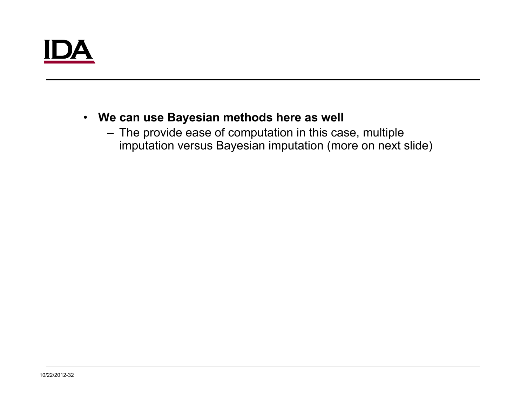### • **We can use Bayesian methods here as well**

– The provide ease of computation in this case, multiple imputation versus Bayesian imputation (more on next slide)